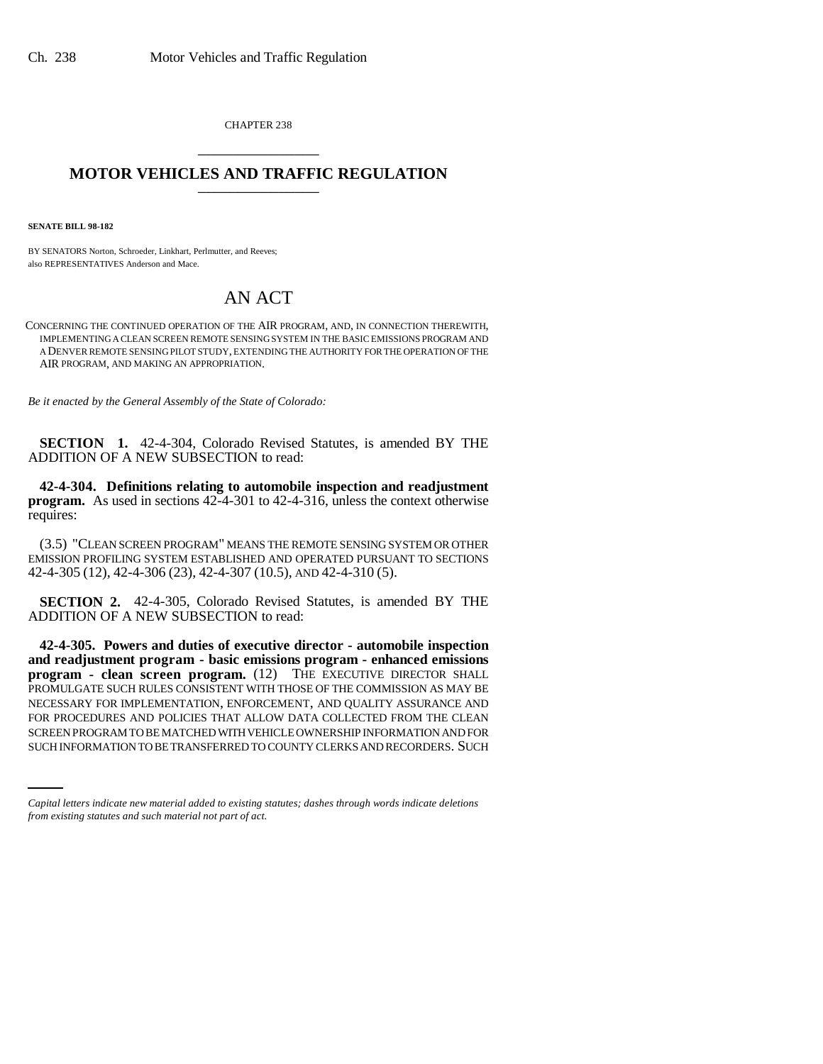CHAPTER 238 \_\_\_\_\_\_\_\_\_\_\_\_\_\_\_

## **MOTOR VEHICLES AND TRAFFIC REGULATION** \_\_\_\_\_\_\_\_\_\_\_\_\_\_\_

**SENATE BILL 98-182**

BY SENATORS Norton, Schroeder, Linkhart, Perlmutter, and Reeves; also REPRESENTATIVES Anderson and Mace.

## AN ACT

CONCERNING THE CONTINUED OPERATION OF THE AIR PROGRAM, AND, IN CONNECTION THEREWITH, IMPLEMENTING A CLEAN SCREEN REMOTE SENSING SYSTEM IN THE BASIC EMISSIONS PROGRAM AND A DENVER REMOTE SENSING PILOT STUDY, EXTENDING THE AUTHORITY FOR THE OPERATION OF THE AIR PROGRAM, AND MAKING AN APPROPRIATION.

*Be it enacted by the General Assembly of the State of Colorado:*

**SECTION 1.** 42-4-304, Colorado Revised Statutes, is amended BY THE ADDITION OF A NEW SUBSECTION to read:

**42-4-304. Definitions relating to automobile inspection and readjustment program.** As used in sections 42-4-301 to 42-4-316, unless the context otherwise requires:

(3.5) "CLEAN SCREEN PROGRAM" MEANS THE REMOTE SENSING SYSTEM OR OTHER EMISSION PROFILING SYSTEM ESTABLISHED AND OPERATED PURSUANT TO SECTIONS 42-4-305 (12), 42-4-306 (23), 42-4-307 (10.5), AND 42-4-310 (5).

**SECTION 2.** 42-4-305, Colorado Revised Statutes, is amended BY THE ADDITION OF A NEW SUBSECTION to read:

FOR PROCEDURES AND POLICIES THAT ALLOW DATA COLLECTED FROM THE CLEAN **42-4-305. Powers and duties of executive director - automobile inspection and readjustment program - basic emissions program - enhanced emissions program - clean screen program.** (12) THE EXECUTIVE DIRECTOR SHALL PROMULGATE SUCH RULES CONSISTENT WITH THOSE OF THE COMMISSION AS MAY BE NECESSARY FOR IMPLEMENTATION, ENFORCEMENT, AND QUALITY ASSURANCE AND SCREEN PROGRAM TO BE MATCHED WITH VEHICLE OWNERSHIP INFORMATION AND FOR SUCH INFORMATION TO BE TRANSFERRED TO COUNTY CLERKS AND RECORDERS. SUCH

*Capital letters indicate new material added to existing statutes; dashes through words indicate deletions from existing statutes and such material not part of act.*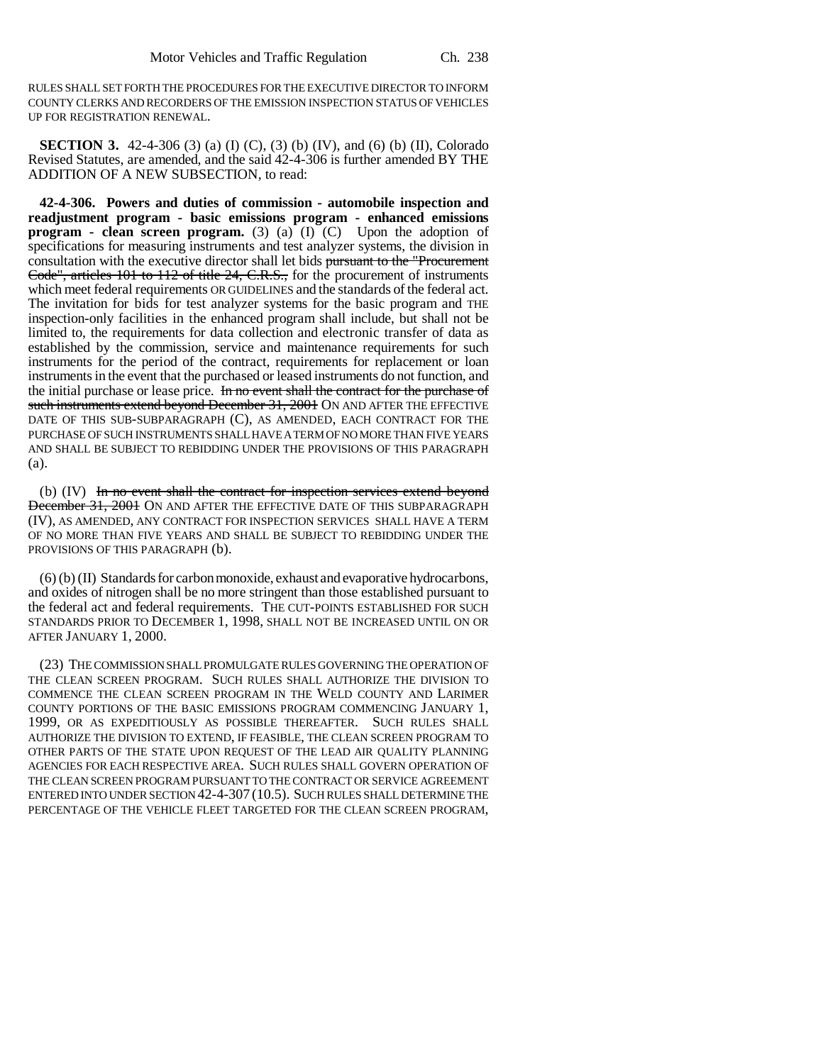RULES SHALL SET FORTH THE PROCEDURES FOR THE EXECUTIVE DIRECTOR TO INFORM COUNTY CLERKS AND RECORDERS OF THE EMISSION INSPECTION STATUS OF VEHICLES UP FOR REGISTRATION RENEWAL.

**SECTION 3.** 42-4-306 (3) (a) (I) (C), (3) (b) (IV), and (6) (b) (II), Colorado Revised Statutes, are amended, and the said 42-4-306 is further amended BY THE ADDITION OF A NEW SUBSECTION, to read:

**42-4-306. Powers and duties of commission - automobile inspection and readjustment program - basic emissions program - enhanced emissions program - clean screen program.** (3) (a) (I) (C) Upon the adoption of specifications for measuring instruments and test analyzer systems, the division in consultation with the executive director shall let bids pursuant to the "Procurement Code", articles 101 to 112 of title 24, C.R.S., for the procurement of instruments which meet federal requirements OR GUIDELINES and the standards of the federal act. The invitation for bids for test analyzer systems for the basic program and THE inspection-only facilities in the enhanced program shall include, but shall not be limited to, the requirements for data collection and electronic transfer of data as established by the commission, service and maintenance requirements for such instruments for the period of the contract, requirements for replacement or loan instruments in the event that the purchased or leased instruments do not function, and the initial purchase or lease price. In no event shall the contract for the purchase of such instruments extend beyond December 31, 2001 ON AND AFTER THE EFFECTIVE DATE OF THIS SUB-SUBPARAGRAPH (C), AS AMENDED, EACH CONTRACT FOR THE PURCHASE OF SUCH INSTRUMENTS SHALL HAVE A TERM OF NO MORE THAN FIVE YEARS AND SHALL BE SUBJECT TO REBIDDING UNDER THE PROVISIONS OF THIS PARAGRAPH (a).

(b) (IV) In no event shall the contract for inspection services extend beyond December 31, 2001 ON AND AFTER THE EFFECTIVE DATE OF THIS SUBPARAGRAPH (IV), AS AMENDED, ANY CONTRACT FOR INSPECTION SERVICES SHALL HAVE A TERM OF NO MORE THAN FIVE YEARS AND SHALL BE SUBJECT TO REBIDDING UNDER THE PROVISIONS OF THIS PARAGRAPH (b).

(6) (b) (II) Standards for carbon monoxide, exhaust and evaporative hydrocarbons, and oxides of nitrogen shall be no more stringent than those established pursuant to the federal act and federal requirements. THE CUT-POINTS ESTABLISHED FOR SUCH STANDARDS PRIOR TO DECEMBER 1, 1998, SHALL NOT BE INCREASED UNTIL ON OR AFTER JANUARY 1, 2000.

(23) THE COMMISSION SHALL PROMULGATE RULES GOVERNING THE OPERATION OF THE CLEAN SCREEN PROGRAM. SUCH RULES SHALL AUTHORIZE THE DIVISION TO COMMENCE THE CLEAN SCREEN PROGRAM IN THE WELD COUNTY AND LARIMER COUNTY PORTIONS OF THE BASIC EMISSIONS PROGRAM COMMENCING JANUARY 1, 1999, OR AS EXPEDITIOUSLY AS POSSIBLE THEREAFTER. SUCH RULES SHALL AUTHORIZE THE DIVISION TO EXTEND, IF FEASIBLE, THE CLEAN SCREEN PROGRAM TO OTHER PARTS OF THE STATE UPON REQUEST OF THE LEAD AIR QUALITY PLANNING AGENCIES FOR EACH RESPECTIVE AREA. SUCH RULES SHALL GOVERN OPERATION OF THE CLEAN SCREEN PROGRAM PURSUANT TO THE CONTRACT OR SERVICE AGREEMENT ENTERED INTO UNDER SECTION 42-4-307 (10.5). SUCH RULES SHALL DETERMINE THE PERCENTAGE OF THE VEHICLE FLEET TARGETED FOR THE CLEAN SCREEN PROGRAM,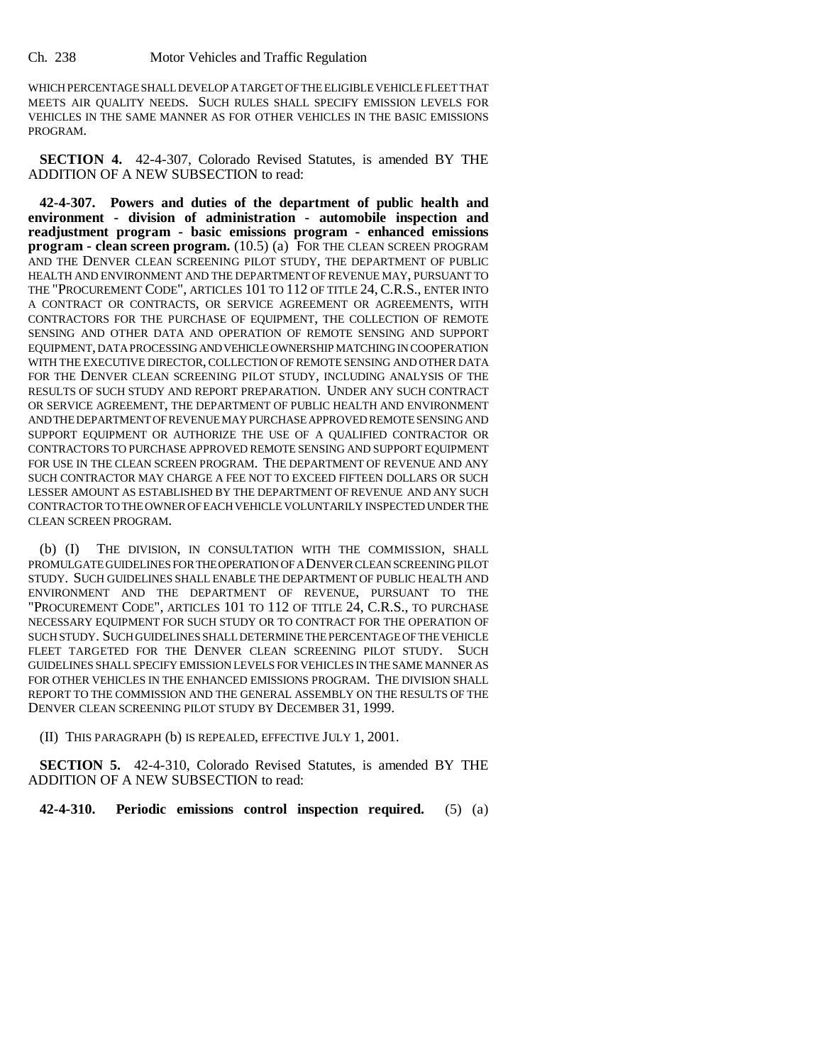WHICH PERCENTAGE SHALL DEVELOP A TARGET OF THE ELIGIBLE VEHICLE FLEET THAT MEETS AIR QUALITY NEEDS. SUCH RULES SHALL SPECIFY EMISSION LEVELS FOR VEHICLES IN THE SAME MANNER AS FOR OTHER VEHICLES IN THE BASIC EMISSIONS PROGRAM.

**SECTION 4.** 42-4-307, Colorado Revised Statutes, is amended BY THE ADDITION OF A NEW SUBSECTION to read:

**42-4-307. Powers and duties of the department of public health and environment - division of administration - automobile inspection and readjustment program - basic emissions program - enhanced emissions program - clean screen program.** (10.5) (a) FOR THE CLEAN SCREEN PROGRAM AND THE DENVER CLEAN SCREENING PILOT STUDY, THE DEPARTMENT OF PUBLIC HEALTH AND ENVIRONMENT AND THE DEPARTMENT OF REVENUE MAY, PURSUANT TO THE "PROCUREMENT CODE", ARTICLES 101 TO 112 OF TITLE 24, C.R.S., ENTER INTO A CONTRACT OR CONTRACTS, OR SERVICE AGREEMENT OR AGREEMENTS, WITH CONTRACTORS FOR THE PURCHASE OF EQUIPMENT, THE COLLECTION OF REMOTE SENSING AND OTHER DATA AND OPERATION OF REMOTE SENSING AND SUPPORT EQUIPMENT, DATA PROCESSING AND VEHICLE OWNERSHIP MATCHING IN COOPERATION WITH THE EXECUTIVE DIRECTOR, COLLECTION OF REMOTE SENSING AND OTHER DATA FOR THE DENVER CLEAN SCREENING PILOT STUDY, INCLUDING ANALYSIS OF THE RESULTS OF SUCH STUDY AND REPORT PREPARATION. UNDER ANY SUCH CONTRACT OR SERVICE AGREEMENT, THE DEPARTMENT OF PUBLIC HEALTH AND ENVIRONMENT AND THE DEPARTMENT OF REVENUE MAY PURCHASE APPROVED REMOTE SENSING AND SUPPORT EQUIPMENT OR AUTHORIZE THE USE OF A QUALIFIED CONTRACTOR OR CONTRACTORS TO PURCHASE APPROVED REMOTE SENSING AND SUPPORT EQUIPMENT FOR USE IN THE CLEAN SCREEN PROGRAM. THE DEPARTMENT OF REVENUE AND ANY SUCH CONTRACTOR MAY CHARGE A FEE NOT TO EXCEED FIFTEEN DOLLARS OR SUCH LESSER AMOUNT AS ESTABLISHED BY THE DEPARTMENT OF REVENUE AND ANY SUCH CONTRACTOR TO THE OWNER OF EACH VEHICLE VOLUNTARILY INSPECTED UNDER THE CLEAN SCREEN PROGRAM.

(b) (I) THE DIVISION, IN CONSULTATION WITH THE COMMISSION, SHALL PROMULGATE GUIDELINES FOR THE OPERATION OF A DENVER CLEAN SCREENING PILOT STUDY. SUCH GUIDELINES SHALL ENABLE THE DEPARTMENT OF PUBLIC HEALTH AND ENVIRONMENT AND THE DEPARTMENT OF REVENUE, PURSUANT TO THE "PROCUREMENT CODE", ARTICLES 101 TO 112 OF TITLE 24, C.R.S., TO PURCHASE NECESSARY EQUIPMENT FOR SUCH STUDY OR TO CONTRACT FOR THE OPERATION OF SUCH STUDY. SUCH GUIDELINES SHALL DETERMINE THE PERCENTAGE OF THE VEHICLE FLEET TARGETED FOR THE DENVER CLEAN SCREENING PILOT STUDY. SUCH GUIDELINES SHALL SPECIFY EMISSION LEVELS FOR VEHICLES IN THE SAME MANNER AS FOR OTHER VEHICLES IN THE ENHANCED EMISSIONS PROGRAM. THE DIVISION SHALL REPORT TO THE COMMISSION AND THE GENERAL ASSEMBLY ON THE RESULTS OF THE DENVER CLEAN SCREENING PILOT STUDY BY DECEMBER 31, 1999.

(II) THIS PARAGRAPH (b) IS REPEALED, EFFECTIVE JULY 1, 2001.

**SECTION 5.** 42-4-310, Colorado Revised Statutes, is amended BY THE ADDITION OF A NEW SUBSECTION to read:

**42-4-310. Periodic emissions control inspection required.** (5) (a)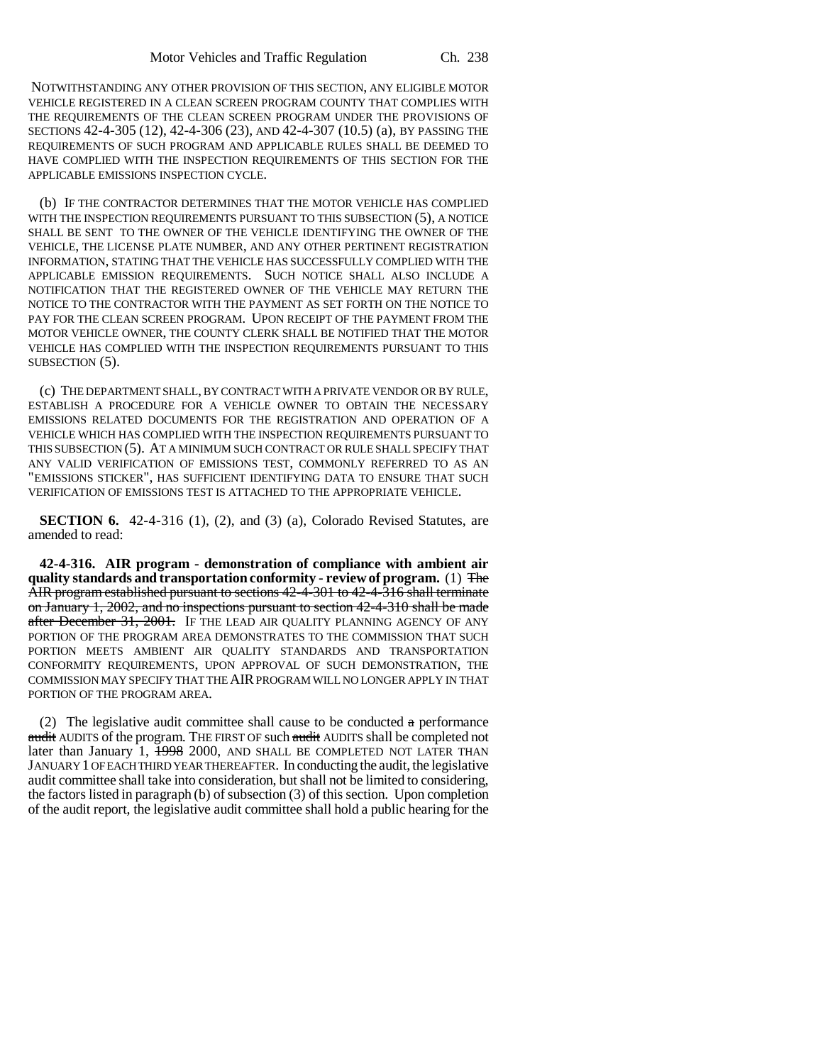NOTWITHSTANDING ANY OTHER PROVISION OF THIS SECTION, ANY ELIGIBLE MOTOR VEHICLE REGISTERED IN A CLEAN SCREEN PROGRAM COUNTY THAT COMPLIES WITH THE REQUIREMENTS OF THE CLEAN SCREEN PROGRAM UNDER THE PROVISIONS OF SECTIONS 42-4-305 (12), 42-4-306 (23), AND 42-4-307 (10.5) (a), BY PASSING THE REQUIREMENTS OF SUCH PROGRAM AND APPLICABLE RULES SHALL BE DEEMED TO HAVE COMPLIED WITH THE INSPECTION REQUIREMENTS OF THIS SECTION FOR THE APPLICABLE EMISSIONS INSPECTION CYCLE.

(b) IF THE CONTRACTOR DETERMINES THAT THE MOTOR VEHICLE HAS COMPLIED WITH THE INSPECTION REQUIREMENTS PURSUANT TO THIS SUBSECTION (5), A NOTICE SHALL BE SENT TO THE OWNER OF THE VEHICLE IDENTIFYING THE OWNER OF THE VEHICLE, THE LICENSE PLATE NUMBER, AND ANY OTHER PERTINENT REGISTRATION INFORMATION, STATING THAT THE VEHICLE HAS SUCCESSFULLY COMPLIED WITH THE APPLICABLE EMISSION REQUIREMENTS. SUCH NOTICE SHALL ALSO INCLUDE A NOTIFICATION THAT THE REGISTERED OWNER OF THE VEHICLE MAY RETURN THE NOTICE TO THE CONTRACTOR WITH THE PAYMENT AS SET FORTH ON THE NOTICE TO PAY FOR THE CLEAN SCREEN PROGRAM. UPON RECEIPT OF THE PAYMENT FROM THE MOTOR VEHICLE OWNER, THE COUNTY CLERK SHALL BE NOTIFIED THAT THE MOTOR VEHICLE HAS COMPLIED WITH THE INSPECTION REQUIREMENTS PURSUANT TO THIS SUBSECTION (5).

(c) THE DEPARTMENT SHALL, BY CONTRACT WITH A PRIVATE VENDOR OR BY RULE, ESTABLISH A PROCEDURE FOR A VEHICLE OWNER TO OBTAIN THE NECESSARY EMISSIONS RELATED DOCUMENTS FOR THE REGISTRATION AND OPERATION OF A VEHICLE WHICH HAS COMPLIED WITH THE INSPECTION REQUIREMENTS PURSUANT TO THIS SUBSECTION (5). AT A MINIMUM SUCH CONTRACT OR RULE SHALL SPECIFY THAT ANY VALID VERIFICATION OF EMISSIONS TEST, COMMONLY REFERRED TO AS AN "EMISSIONS STICKER", HAS SUFFICIENT IDENTIFYING DATA TO ENSURE THAT SUCH VERIFICATION OF EMISSIONS TEST IS ATTACHED TO THE APPROPRIATE VEHICLE.

**SECTION 6.** 42-4-316 (1), (2), and (3) (a), Colorado Revised Statutes, are amended to read:

**42-4-316. AIR program - demonstration of compliance with ambient air quality standards and transportation conformity - review of program.** (1) The AIR program established pursuant to sections 42-4-301 to 42-4-316 shall terminate on January 1, 2002, and no inspections pursuant to section 42-4-310 shall be made after December 31, 2001. IF THE LEAD AIR QUALITY PLANNING AGENCY OF ANY PORTION OF THE PROGRAM AREA DEMONSTRATES TO THE COMMISSION THAT SUCH PORTION MEETS AMBIENT AIR QUALITY STANDARDS AND TRANSPORTATION CONFORMITY REQUIREMENTS, UPON APPROVAL OF SUCH DEMONSTRATION, THE COMMISSION MAY SPECIFY THAT THE AIR PROGRAM WILL NO LONGER APPLY IN THAT PORTION OF THE PROGRAM AREA.

(2) The legislative audit committee shall cause to be conducted  $\alpha$  performance <del>audit</del> AUDITS of the program. THE FIRST OF such <del>audit</del> AUDITS shall be completed not later than January 1, 1998 2000, AND SHALL BE COMPLETED NOT LATER THAN JANUARY 1 OF EACH THIRD YEAR THEREAFTER. In conducting the audit, the legislative audit committee shall take into consideration, but shall not be limited to considering, the factors listed in paragraph (b) of subsection (3) of this section. Upon completion of the audit report, the legislative audit committee shall hold a public hearing for the